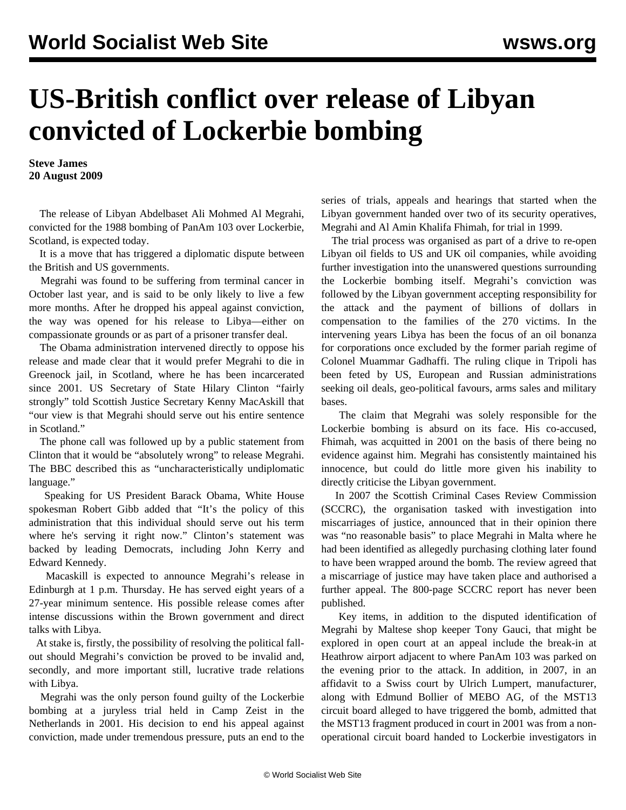## **US-British conflict over release of Libyan convicted of Lockerbie bombing**

**Steve James 20 August 2009**

 The release of Libyan Abdelbaset Ali Mohmed Al Megrahi, convicted for the 1988 bombing of PanAm 103 over Lockerbie, Scotland, is expected today.

 It is a move that has triggered a diplomatic dispute between the British and US governments.

 Megrahi was found to be suffering from terminal cancer in October last year, and is said to be only likely to live a few more months. After he dropped his appeal against conviction, the way was opened for his release to Libya—either on compassionate grounds or as part of a prisoner transfer deal.

 The Obama administration intervened directly to oppose his release and made clear that it would prefer Megrahi to die in Greenock jail, in Scotland, where he has been incarcerated since 2001. US Secretary of State Hilary Clinton "fairly strongly" told Scottish Justice Secretary Kenny MacAskill that "our view is that Megrahi should serve out his entire sentence in Scotland."

 The phone call was followed up by a public statement from Clinton that it would be "absolutely wrong" to release Megrahi. The BBC described this as "uncharacteristically undiplomatic language."

 Speaking for US President Barack Obama, White House spokesman Robert Gibb added that "It's the policy of this administration that this individual should serve out his term where he's serving it right now." Clinton's statement was backed by leading Democrats, including John Kerry and Edward Kennedy.

 Macaskill is expected to announce Megrahi's release in Edinburgh at 1 p.m. Thursday. He has served eight years of a 27-year minimum sentence. His possible release comes after intense discussions within the Brown government and direct talks with Libya.

 At stake is, firstly, the possibility of resolving the political fallout should Megrahi's conviction be proved to be invalid and, secondly, and more important still, lucrative trade relations with Libya.

 Megrahi was the only person found guilty of the Lockerbie bombing at a juryless trial held in Camp Zeist in the Netherlands in 2001. His decision to end his appeal against conviction, made under tremendous pressure, puts an end to the series of trials, appeals and hearings that started when the Libyan government handed over two of its security operatives, Megrahi and Al Amin Khalifa Fhimah, for trial in 1999.

 The trial process was organised as part of a drive to re-open Libyan oil fields to US and UK oil companies, while avoiding further investigation into the unanswered questions surrounding the Lockerbie bombing itself. Megrahi's conviction was followed by the Libyan government accepting responsibility for the attack and the payment of billions of dollars in compensation to the families of the 270 victims. In the intervening years Libya has been the focus of an oil bonanza for corporations once excluded by the former pariah regime of Colonel Muammar Gadhaffi. The ruling clique in Tripoli has been feted by US, European and Russian administrations seeking oil deals, geo-political favours, arms sales and military bases.

 The claim that Megrahi was solely responsible for the Lockerbie bombing is absurd on its face. His co-accused, Fhimah, was acquitted in 2001 on the basis of there being no evidence against him. Megrahi has consistently maintained his innocence, but could do little more given his inability to directly criticise the Libyan government.

 In 2007 the Scottish Criminal Cases Review Commission (SCCRC), the organisation tasked with investigation into miscarriages of justice, announced that in their opinion there was "no reasonable basis" to place Megrahi in Malta where he had been identified as allegedly purchasing clothing later found to have been wrapped around the bomb. The review agreed that a miscarriage of justice may have taken place and authorised a further appeal. The 800-page SCCRC report has never been published.

 Key items, in addition to the disputed identification of Megrahi by Maltese shop keeper Tony Gauci, that might be explored in open court at an appeal include the break-in at Heathrow airport adjacent to where PanAm 103 was parked on the evening prior to the attack. In addition, in 2007, in an affidavit to a Swiss court by Ulrich Lumpert, manufacturer, along with Edmund Bollier of MEBO AG, of the MST13 circuit board alleged to have triggered the bomb, admitted that the MST13 fragment produced in court in 2001 was from a nonoperational circuit board handed to Lockerbie investigators in